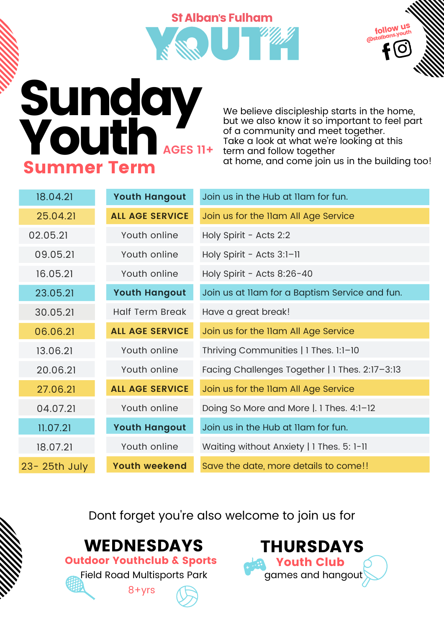# **St Alban's Fulham**



## Sunday<br>Youth AGES 11+ Summer Term

We believe discipleship starts in the home, but we also know it so important to feel part of a community and meet together. Take a look at what we're looking at this term and follow together at home, and come join us in the building too!

| 18.04.21     | <b>Youth Hangout</b>   | Join us in the Hub at Ilam for fun.            |
|--------------|------------------------|------------------------------------------------|
| 25.04.21     | <b>ALL AGE SERVICE</b> | Join us for the Ilam All Age Service           |
| 02.05.21     | Youth online           | Holy Spirit - Acts 2:2                         |
| 09.05.21     | Youth online           | Holy Spirit - Acts 3:1-11                      |
| 16.05.21     | Youth online           | Holy Spirit - Acts 8:26-40                     |
| 23.05.21     | <b>Youth Hangout</b>   | Join us at Ilam for a Baptism Service and fun. |
| 30.05.21     | <b>Half Term Break</b> | Have a great break!                            |
| 06.06.21     | <b>ALL AGE SERVICE</b> | Join us for the Ilam All Age Service           |
| 13.06.21     | Youth online           | Thriving Communities   1 Thes. 1:1-10          |
| 20.06.21     | Youth online           | Facing Challenges Together   1 Thes. 2:17-3:13 |
| 27.06.21     | <b>ALL AGE SERVICE</b> | Join us for the Ilam All Age Service           |
| 04.07.21     | Youth online           | Doing So More and More  . 1 Thes. 4:1-12       |
| 11.07.21     | <b>Youth Hangout</b>   | Join us in the Hub at Ilam for fun.            |
| 18.07.21     | Youth online           | Waiting without Anxiety   1 Thes. 5: 1-11      |
| 23-25th July | <b>Youth weekend</b>   | Save the date, more details to come!!          |

Dont forget you're also welcome to join us for